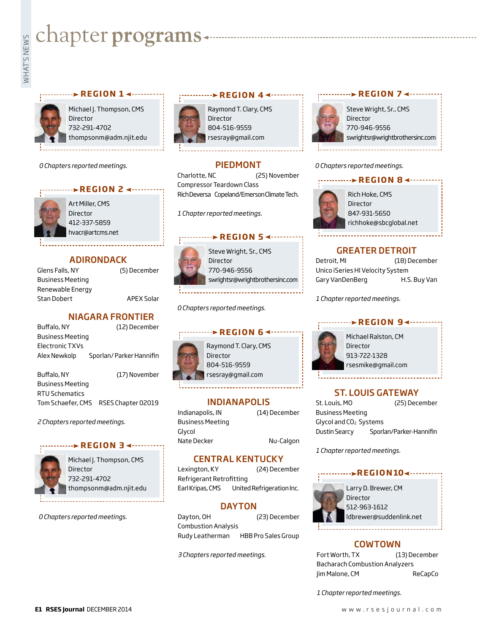# WHAT'S Chapter programs<br>
Example:<br>
International contract of the set of the set of the set of the set of the set of the set of the set of the set of the set of the set of the set of the set of the set of the set of the set

### **PREGION 1 <-----------**



Michael J. Thompson, CMS Director 732-291-4702 thompsonm@adm.njit.edu

*0 Chapters reported meetings.*



Art Miller, CMS Director 412-337-5859 hvacr@artcms.net

#### ADIRONDACK

Glens Falls, NY (5) December Business Meeting Renewable Energy Stan Dobert APEX Solar

#### NIAGARA FRONTIER

| Buffalo, NY             | (12) December           |
|-------------------------|-------------------------|
| <b>Business Meeting</b> |                         |
| Electronic TXVs         |                         |
| Alex Newkolp            | Sporlan/Parker Hannifin |
|                         |                         |
| Buffalo, NY             | (17) November           |

Business Meeting RTU Schematics Tom Schaefer, CMS RSES Chapter 02019

*2 Chapters reported meetings.*

#### **REGION 3 <--------**



Michael J. Thompson, CMS **Director** 732-291-4702 thompsonm@adm.njit.edu

*0 Chapters reported meetings.*



Raymond T. Clary, CMS Director 804-516-9559 rsesray@gmail.com

**REGION 4 <----------**

#### PIEDMONT

Charlotte, NC (25) November Compressor Teardown Class Rich Deversa Copeland/Emerson Climate Tech.

*1 Chapter reported meetings.*

#### **REGION 5 <--------**



Steve Wright, Sr., CMS Director 770-946-9556 swrightsr@wrightbrothersinc.com

*0 Chapters reported meetings.*



Raymond T. Clary, CMS 804-516-9559 rsesray@gmail.com

#### INDIANAPOLIS

Indianapolis, IN (14) December Business Meeting Glycol Nate Decker Nu-Calgon

#### CENTRAL KENTUCKY

Lexington, KY (24) December Refrigerant Retrofitting Earl Kripas, CMS United Refrigeration Inc.

#### DAYTON

Dayton, OH (23) December Combustion Analysis Rudy Leatherman HBB Pro Sales Group

*3 Chapters reported meetings.*

#### Steve Wright, Sr., CMS Director 770-946-9556 swrightsr@wrightbrothersinc.com



**REGION 7 ← ·········** 

#### GREATER DETROIT

Detroit, MI (18) December Unico iSeries HI Velocity System Gary VanDenBerg H.S. Buy Van

*1 Chapter reported meetings.*

#### **REGION 9∢ --------**



Michael Ralston, CM Director 913-722-1328 rsesmike@gmail.com

#### ST. LOUIS GATEWAY

St. Louis, MO (25) December Business Meeting Glycol and CO<sub>2</sub> Systems Dustin Searcy Sporlan/Parker-Hannifin

*1 Chapter reported meetings.*

#### **REGION 104 --------**



#### COWTOWN

Fort Worth, TX (13) December Bacharach Combustion Analyzers Jim Malone, CM ReCapCo

*1 Chapter reported meetings.*